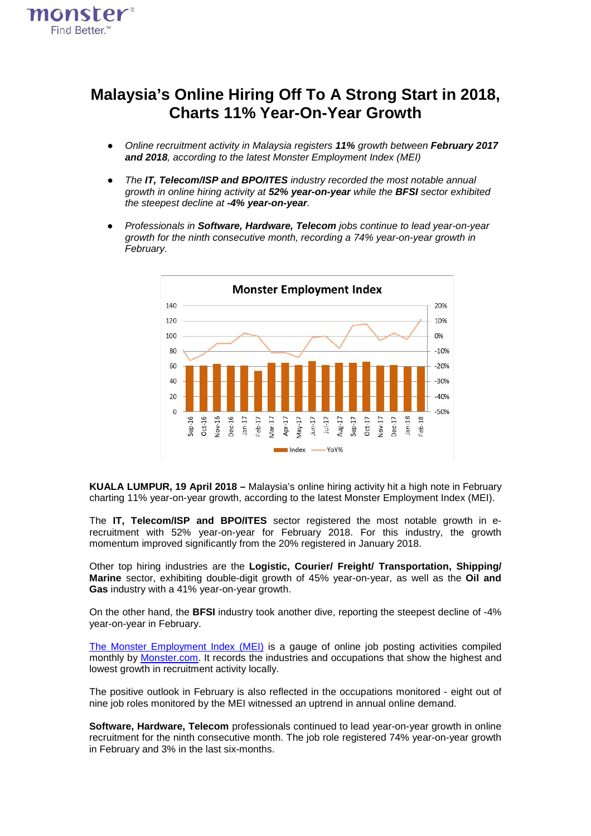

## **Malaysia's Online Hiring Off To A Strong Start in 2018, Charts 11% Year-On-Year Growth**

- *Online recruitment activity in Malaysia registers 11% growth between February 2017 and 2018, according to the latest Monster Employment Index (MEI)*
- *The IT, Telecom/ISP and BPO/ITES industry recorded the most notable annual growth in online hiring activity at 52% year-on-year while the BFSI sector exhibited the steepest decline at -4% year-on-year.*
- *Professionals in Software, Hardware, Telecom jobs continue to lead year-on-year growth for the ninth consecutive month, recording a 74% year-on-year growth in February.*



**KUALA LUMPUR, 19 April 2018 –** Malaysia's online hiring activity hit a high note in February charting 11% year-on-year growth, according to the latest Monster Employment Index (MEI).

The **IT, Telecom/ISP and BPO/ITES** sector registered the most notable growth in erecruitment with 52% year-on-year for February 2018. For this industry, the growth momentum improved significantly from the 20% registered in January 2018.

Other top hiring industries are the **Logistic, Courier/ Freight/ Transportation, Shipping/ Marine** sector, exhibiting double-digit growth of 45% year-on-year, as well as the **Oil and Gas** industry with a 41% year-on-year growth.

On the other hand, the **BFSI** industry took another dive, reporting the steepest decline of -4% year-on-year in February.

The Monster [Employment](http://www.monster.com.my/employment-index/) Index (MEI) is a gauge of online job posting activities compiled monthly by [Monster.com.](http://www.monster.com.my/) It records the industries and occupations that show the highest and lowest growth in recruitment activity locally.

The positive outlook in February is also reflected in the occupations monitored - eight out of nine job roles monitored by the MEI witnessed an uptrend in annual online demand.

**Software, Hardware, Telecom** professionals continued to lead year-on-year growth in online recruitment for the ninth consecutive month. The job role registered 74% year-on-year growth in February and 3% in the last six-months.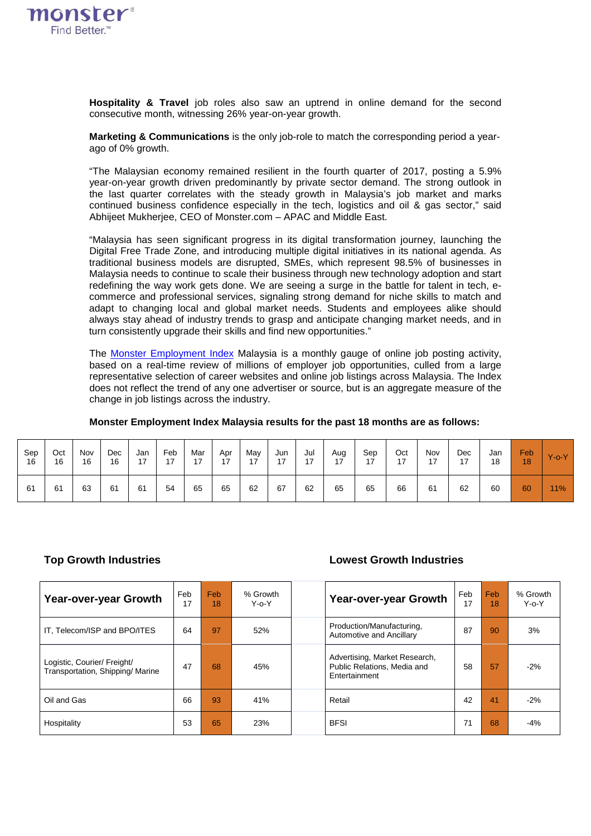

**Hospitality & Travel** job roles also saw an uptrend in online demand for the second consecutive month, witnessing 26% year-on-year growth.

**Marketing & Communications** is the only job-role to match the corresponding period a yearago of 0% growth.

"The Malaysian economy remained resilient in the fourth quarter of 2017, posting a 5.9% year-on-year growth driven predominantly by private sector demand. The strong outlook in the last quarter correlates with the steady growth in Malaysia's job market and marks continued business confidence especially in the tech, logistics and oil & gas sector," said Abhijeet Mukherjee, CEO of Monster.com – APAC and Middle East.

"Malaysia has seen significant progress in its digital transformation journey, launching the Digital Free Trade Zone, and introducing multiple digital initiatives in its national agenda. As traditional business models are disrupted, SMEs, which represent 98.5% of businesses in Malaysia needs to continue to scale their business through new technology adoption and start redefining the way work gets done. We are seeing a surge in the battle for talent in tech, ecommerce and professional services, signaling strong demand for niche skills to match and adapt to changing local and global market needs. Students and employees alike should always stay ahead of industry trends to grasp and anticipate changing market needs, and in turn consistently upgrade their skills and find new opportunities."

The Monster [Employment](http://www.monster.com.my/employment-index/) Index Malaysia is a monthly gauge of online job posting activity, based on a real-time review of millions of employer job opportunities, culled from a large representative selection of career websites and online job listings across Malaysia. The Index does not reflect the trend of any one advertiser or source, but is an aggregate measure of the change in job listings across the industry.

| Sep | Oct | Nov | Dec | Jan | Feb | Mar | Apr | May | Jun | Jul | Aug | Sep | Oct | Nov | Dec | Jan | Feb | $Y$ -o- $Y$ |
|-----|-----|-----|-----|-----|-----|-----|-----|-----|-----|-----|-----|-----|-----|-----|-----|-----|-----|-------------|
| 16  | 16  | 16  | 16  | 17  | 17  | 17  | 17  | 17  | 17  | 17  | 17  | 17  | 17  | 17  | 17  | 18  | 18  |             |
| 61  | 61  | 63  | 61  | 61  | 54  | 65  | 65  | 62  | 67  | 62  | 65  | 65  | 66  | 61  | 62  | 60  | 60  | 11%         |

## **Monster Employment Index Malaysia results for the past 18 months are as follows:**

## **Top Growth Industries Lowest Growth Industries**

| Year-over-year Growth                                           | <b>Feb</b><br>17 | <b>Feb</b><br>18 | % Growth<br>$Y - 0 - Y$ | Year-over-year Growth                                                         | Feb<br>17 | Feb<br>18 | % Growth<br>$Y-0-Y$ |
|-----------------------------------------------------------------|------------------|------------------|-------------------------|-------------------------------------------------------------------------------|-----------|-----------|---------------------|
| IT, Telecom/ISP and BPO/ITES                                    | 64               | 97               | 52%                     | Production/Manufacturing,<br>Automotive and Ancillary                         | 87        | 90        | 3%                  |
| Logistic, Courier/ Freight/<br>Transportation, Shipping/ Marine | 47               | 68               | 45%                     | Advertising, Market Research,<br>Public Relations, Media and<br>Entertainment | 58        | 57        | $-2%$               |
| Oil and Gas                                                     | 66               | 93               | 41%                     | Retail                                                                        | 42        | 41        | $-2%$               |
| Hospitality                                                     | 53               | 65               | 23%                     | <b>BFSI</b>                                                                   | 71        | 68        | $-4%$               |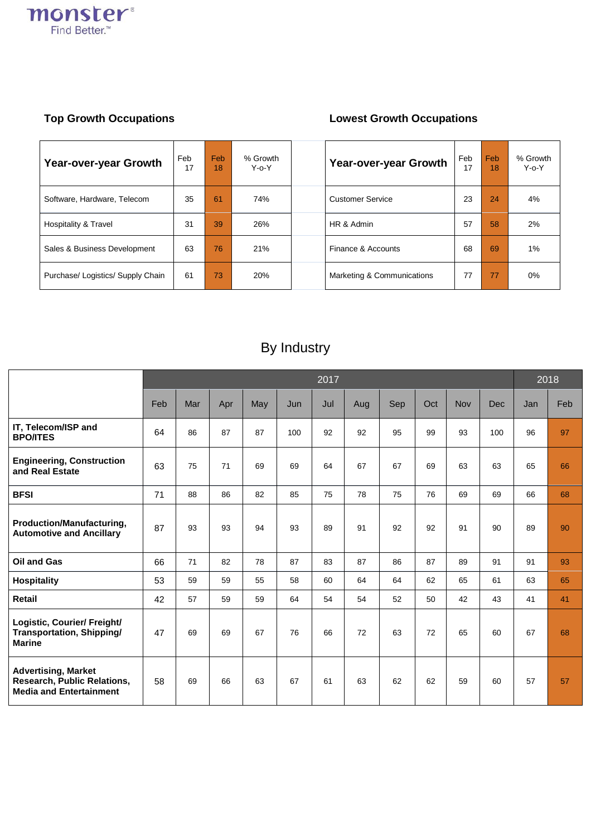

## **Top Growth Occupations Lowest Growth Occupations**

| Year-over-year Growth             | Feb<br>17 | Feb<br>18 | % Growth<br>$Y - 0 - Y$ | Year-over-year Growth      | Feb<br>17 | Feb<br>18 | % Growth<br>$Y - 0 - Y$ |
|-----------------------------------|-----------|-----------|-------------------------|----------------------------|-----------|-----------|-------------------------|
| Software, Hardware, Telecom       | 35        | 61        | 74%                     | <b>Customer Service</b>    | 23        | 24        | 4%                      |
| <b>Hospitality &amp; Travel</b>   | 31        | 39        | 26%                     | HR & Admin                 | 57        | 58        | 2%                      |
| Sales & Business Development      | 63        | 76        | 21%                     | Finance & Accounts         | 68        | 69        | $1\%$                   |
| Purchase/ Logistics/ Supply Chain | 61        | 73        | 20%                     | Marketing & Communications | 77        | 77        | $0\%$                   |

# By Industry

|                                                                                             | 2017 |     |     |     |     |     |     |     |     |            |     |     | 2018 |  |  |
|---------------------------------------------------------------------------------------------|------|-----|-----|-----|-----|-----|-----|-----|-----|------------|-----|-----|------|--|--|
|                                                                                             | Feb  | Mar | Apr | May | Jun | Jul | Aug | Sep | Oct | <b>Nov</b> | Dec | Jan | Feb  |  |  |
| IT, Telecom/ISP and<br><b>BPO/ITES</b>                                                      | 64   | 86  | 87  | 87  | 100 | 92  | 92  | 95  | 99  | 93         | 100 | 96  | 97   |  |  |
| <b>Engineering, Construction</b><br>and Real Estate                                         | 63   | 75  | 71  | 69  | 69  | 64  | 67  | 67  | 69  | 63         | 63  | 65  | 66   |  |  |
| <b>BFSI</b>                                                                                 | 71   | 88  | 86  | 82  | 85  | 75  | 78  | 75  | 76  | 69         | 69  | 66  | 68   |  |  |
| Production/Manufacturing,<br><b>Automotive and Ancillary</b>                                | 87   | 93  | 93  | 94  | 93  | 89  | 91  | 92  | 92  | 91         | 90  | 89  | 90   |  |  |
| <b>Oil and Gas</b>                                                                          | 66   | 71  | 82  | 78  | 87  | 83  | 87  | 86  | 87  | 89         | 91  | 91  | 93   |  |  |
| <b>Hospitality</b>                                                                          | 53   | 59  | 59  | 55  | 58  | 60  | 64  | 64  | 62  | 65         | 61  | 63  | 65   |  |  |
| Retail                                                                                      | 42   | 57  | 59  | 59  | 64  | 54  | 54  | 52  | 50  | 42         | 43  | 41  | 41   |  |  |
| Logistic, Courier/ Freight/<br>Transportation, Shipping/<br><b>Marine</b>                   | 47   | 69  | 69  | 67  | 76  | 66  | 72  | 63  | 72  | 65         | 60  | 67  | 68   |  |  |
| <b>Advertising, Market</b><br>Research, Public Relations,<br><b>Media and Entertainment</b> | 58   | 69  | 66  | 63  | 67  | 61  | 63  | 62  | 62  | 59         | 60  | 57  | 57   |  |  |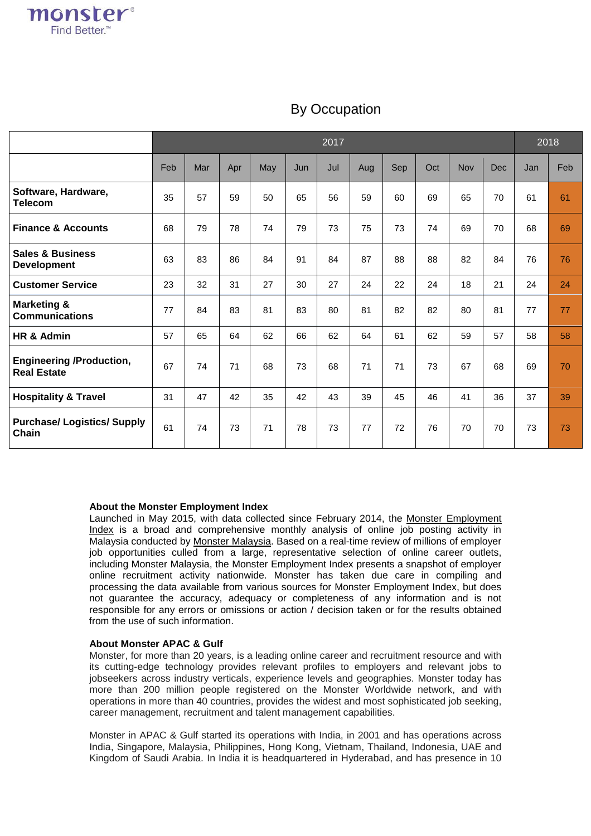|                                                       | 2017 |     |     |     |     |     |     |     | 2018 |     |            |     |     |
|-------------------------------------------------------|------|-----|-----|-----|-----|-----|-----|-----|------|-----|------------|-----|-----|
|                                                       | Feb  | Mar | Apr | May | Jun | Jul | Aug | Sep | Oct  | Nov | <b>Dec</b> | Jan | Feb |
| Software, Hardware,<br><b>Telecom</b>                 | 35   | 57  | 59  | 50  | 65  | 56  | 59  | 60  | 69   | 65  | 70         | 61  | 61  |
| <b>Finance &amp; Accounts</b>                         | 68   | 79  | 78  | 74  | 79  | 73  | 75  | 73  | 74   | 69  | 70         | 68  | 69  |
| <b>Sales &amp; Business</b><br><b>Development</b>     | 63   | 83  | 86  | 84  | 91  | 84  | 87  | 88  | 88   | 82  | 84         | 76  | 76  |
| <b>Customer Service</b>                               | 23   | 32  | 31  | 27  | 30  | 27  | 24  | 22  | 24   | 18  | 21         | 24  | 24  |
| <b>Marketing &amp;</b><br><b>Communications</b>       | 77   | 84  | 83  | 81  | 83  | 80  | 81  | 82  | 82   | 80  | 81         | 77  | 77  |
| HR & Admin                                            | 57   | 65  | 64  | 62  | 66  | 62  | 64  | 61  | 62   | 59  | 57         | 58  | 58  |
| <b>Engineering /Production,</b><br><b>Real Estate</b> | 67   | 74  | 71  | 68  | 73  | 68  | 71  | 71  | 73   | 67  | 68         | 69  | 70  |
| <b>Hospitality &amp; Travel</b>                       | 31   | 47  | 42  | 35  | 42  | 43  | 39  | 45  | 46   | 41  | 36         | 37  | 39  |
| <b>Purchase/ Logistics/ Supply</b><br>Chain           | 61   | 74  | 73  | 71  | 78  | 73  | 77  | 72  | 76   | 70  | 70         | 73  | 73  |

## By Occupation

## **About the Monster Employment Index**

Launched in May 2015, with data collected since February 2014, the Monster [Employment](http://www.monster.com.my/employment-index/) [Index](http://www.monster.com.my/employment-index/) is a broad and comprehensive monthly analysis of online job posting activity in Malaysia conducted by Monster [Malaysia.](http://www.monster.com.my/) Based on a real-time review of millions of employer job opportunities culled from a large, representative selection of online career outlets, including Monster Malaysia, the Monster Employment Index presents a snapshot of employer online recruitment activity nationwide. Monster has taken due care in compiling and processing the data available from various sources for Monster Employment Index, but does not guarantee the accuracy, adequacy or completeness of any information and is not responsible for any errors or omissions or action / decision taken or for the results obtained from the use of such information.

## **About Monster APAC & Gulf**

Monster, for more than 20 years, is a leading online career and recruitment resource and with its cutting-edge technology provides relevant profiles to employers and relevant jobs to jobseekers across industry verticals, experience levels and geographies. Monster today has more than 200 million people registered on the Monster Worldwide network, and with operations in more than 40 countries, provides the widest and most sophisticated job seeking, career management, recruitment and talent management capabilities.

Monster in APAC & Gulf started its operations with India, in 2001 and has operations across India, Singapore, Malaysia, Philippines, Hong Kong, Vietnam, Thailand, Indonesia, UAE and Kingdom of Saudi Arabia. In India it is headquartered in Hyderabad, and has presence in 10